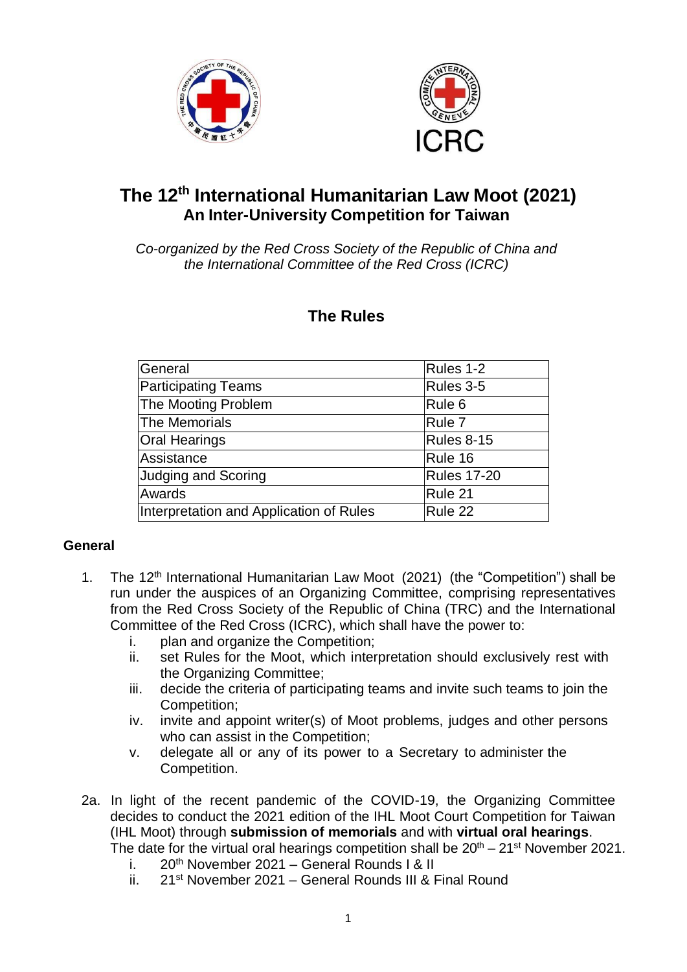



# **The 12 th International Humanitarian Law Moot (2021) An Inter-University Competition for Taiwan**

*Co-organized by the Red Cross Society of the Republic of China and the International Committee of the Red Cross (ICRC)*

# **The Rules**

| General                                 | Rules 1-2          |
|-----------------------------------------|--------------------|
| <b>Participating Teams</b>              | Rules 3-5          |
| The Mooting Problem                     | Rule <sub>6</sub>  |
| The Memorials                           | Rule 7             |
| <b>Oral Hearings</b>                    | <b>Rules 8-15</b>  |
| Assistance                              | Rule 16            |
| <b>Judging and Scoring</b>              | <b>Rules 17-20</b> |
| Awards                                  | Rule 21            |
| Interpretation and Application of Rules | Rule 22            |

# **General**

- 1. The 12<sup>th</sup> International Humanitarian Law Moot (2021) (the "Competition") shall be run under the auspices of an Organizing Committee, comprising representatives from the Red Cross Society of the Republic of China (TRC) and the International Committee of the Red Cross (ICRC), which shall have the power to:
	- i. plan and organize the Competition;
	- ii. set Rules for the Moot, which interpretation should exclusively rest with the Organizing Committee;
	- iii. decide the criteria of participating teams and invite such teams to join the Competition;
	- iv. invite and appoint writer(s) of Moot problems, judges and other persons who can assist in the Competition;
	- v. delegate all or any of its power to a Secretary to administer the Competition.
- 2a. In light of the recent pandemic of the COVID-19, the Organizing Committee decides to conduct the 2021 edition of the IHL Moot Court Competition for Taiwan (IHL Moot) through **submission of memorials** and with **virtual oral hearings**. The date for the virtual oral hearings competition shall be  $20^{th} - 21^{st}$  November 2021.
	- i. 20<sup>th</sup> November 2021 General Rounds I & II
	- ii. 21<sup>st</sup> November 2021 General Rounds III & Final Round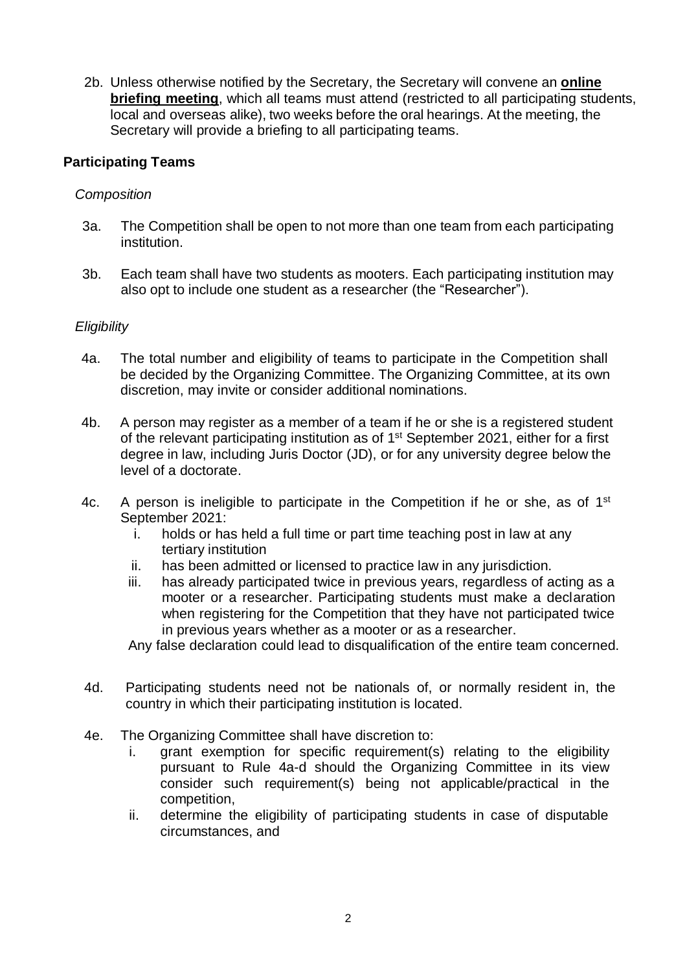2b. Unless otherwise notified by the Secretary, the Secretary will convene an **online briefing meeting**, which all teams must attend (restricted to all participating students, local and overseas alike), two weeks before the oral hearings. At the meeting, the Secretary will provide a briefing to all participating teams.

## **Participating Teams**

## *Composition*

- 3a. The Competition shall be open to not more than one team from each participating institution.
- 3b. Each team shall have two students as mooters. Each participating institution may also opt to include one student as a researcher (the "Researcher").

## *Eligibility*

- 4a. The total number and eligibility of teams to participate in the Competition shall be decided by the Organizing Committee. The Organizing Committee, at its own discretion, may invite or consider additional nominations.
- 4b. A person may register as a member of a team if he or she is a registered student of the relevant participating institution as of 1<sup>st</sup> September 2021, either for a first degree in law, including Juris Doctor (JD), or for any university degree below the level of a doctorate.
- 4c. A person is ineligible to participate in the Competition if he or she, as of  $1<sup>st</sup>$ September 2021:
	- i. holds or has held a full time or part time teaching post in law at any tertiary institution
	- ii. has been admitted or licensed to practice law in any jurisdiction.
	- iii. has already participated twice in previous years, regardless of acting as a mooter or a researcher. Participating students must make a declaration when registering for the Competition that they have not participated twice in previous years whether as a mooter or as a researcher.

Any false declaration could lead to disqualification of the entire team concerned.

- 4d. Participating students need not be nationals of, or normally resident in, the country in which their participating institution is located.
- 4e. The Organizing Committee shall have discretion to:
	- i. grant exemption for specific requirement(s) relating to the eligibility pursuant to Rule 4a-d should the Organizing Committee in its view consider such requirement(s) being not applicable/practical in the competition,
	- ii. determine the eligibility of participating students in case of disputable circumstances, and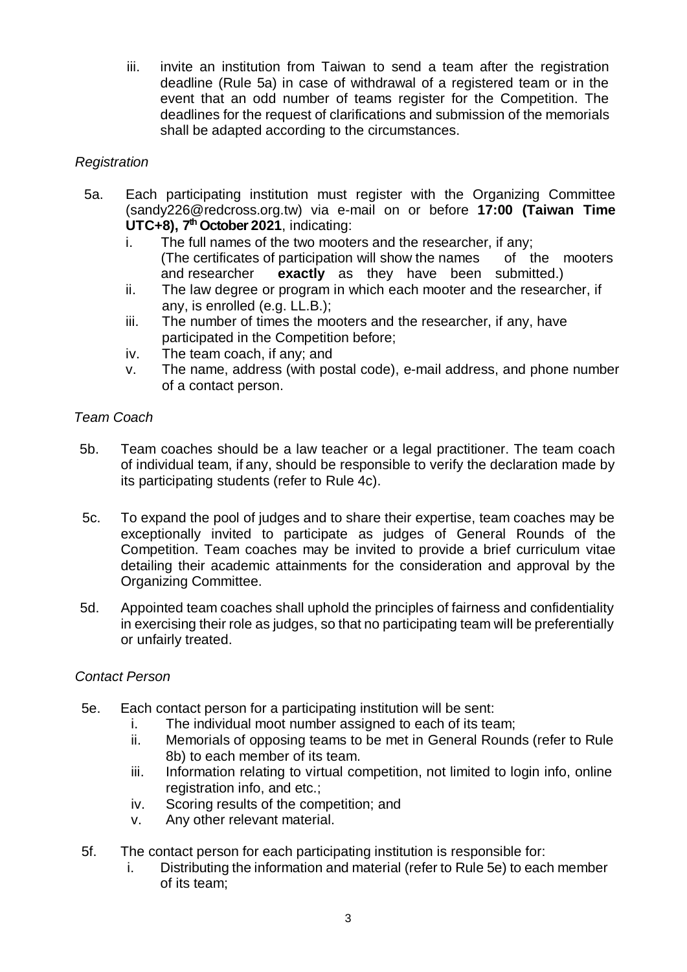iii. invite an institution from Taiwan to send a team after the registration deadline (Rule 5a) in case of withdrawal of a registered team or in the event that an odd number of teams register for the Competition. The deadlines for the request of clarifications and submission of the memorials shall be adapted according to the circumstances.

## *Registration*

- 5a. Each participating institution must register with the Organizing Committee (sandy226@redcross.org.tw) via e-mail on or before **17:00 (Taiwan Time UTC+8), 7 th October 2021**, indicating:
	- i. The full names of the two mooters and the researcher, if any; (The certificates of participation will show the names of the mooters and researcher **exactly** as they have been submitted.)
	- ii. The law degree or program in which each mooter and the researcher, if any, is enrolled (e.g. LL.B.);
	- iii. The number of times the mooters and the researcher, if any, have participated in the Competition before;
	- iv. The team coach, if any; and
	- v. The name, address (with postal code), e-mail address, and phone number of a contact person.

## *Team Coach*

- 5b. Team coaches should be a law teacher or a legal practitioner. The team coach of individual team, if any, should be responsible to verify the declaration made by its participating students (refer to Rule 4c).
- 5c. To expand the pool of judges and to share their expertise, team coaches may be exceptionally invited to participate as judges of General Rounds of the Competition. Team coaches may be invited to provide a brief curriculum vitae detailing their academic attainments for the consideration and approval by the Organizing Committee.
- 5d. Appointed team coaches shall uphold the principles of fairness and confidentiality in exercising their role as judges, so that no participating team will be preferentially or unfairly treated.

## *Contact Person*

- 5e. Each contact person for a participating institution will be sent:
	- i. The individual moot number assigned to each of its team;
	- ii. Memorials of opposing teams to be met in General Rounds (refer to Rule 8b) to each member of its team.
	- iii. Information relating to virtual competition, not limited to login info, online registration info, and etc.;
	- iv. Scoring results of the competition; and
	- v. Any other relevant material.
- 5f. The contact person for each participating institution is responsible for:
	- i. Distributing the information and material (refer to Rule 5e) to each member of its team;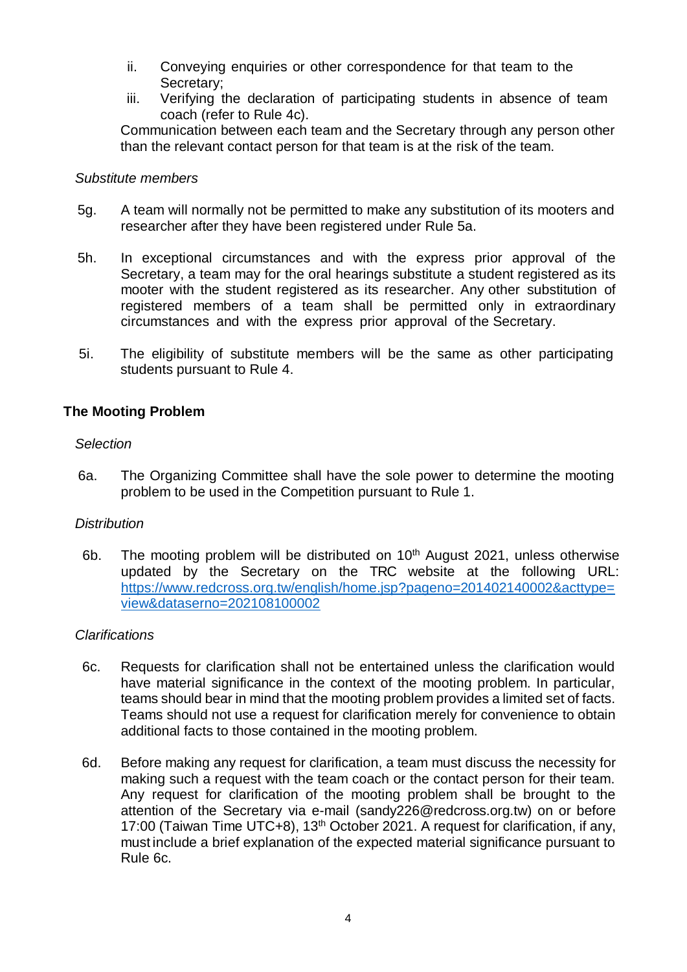- ii. Conveying enquiries or other correspondence for that team to the Secretary;
- iii. Verifying the declaration of participating students in absence of team coach (refer to Rule 4c).

Communication between each team and the Secretary through any person other than the relevant contact person for that team is at the risk of the team.

## *Substitute members*

- 5g. A team will normally not be permitted to make any substitution of its mooters and researcher after they have been registered under Rule 5a.
- 5h. In exceptional circumstances and with the express prior approval of the Secretary, a team may for the oral hearings substitute a student registered as its mooter with the student registered as its researcher. Any other substitution of registered members of a team shall be permitted only in extraordinary circumstances and with the express prior approval of the Secretary.
- 5i. The eligibility of substitute members will be the same as other participating students pursuant to Rule 4.

#### **The Mooting Problem**

#### *Selection*

 6a. The Organizing Committee shall have the sole power to determine the mooting problem to be used in the Competition pursuant to Rule 1.

## *Distribution*

6b. The mooting problem will be distributed on  $10<sup>th</sup>$  August 2021, unless otherwise updated by the Secretary on the TRC website at the following URL: [https://www.redcross.org.tw/english/home.jsp?pageno=201402140002&acttype=](https://www.redcross.org.tw/english/home.jsp?pageno=201402140002&acttype=view&dataserno=202108100002) [view&dataserno=202108100002](https://www.redcross.org.tw/english/home.jsp?pageno=201402140002&acttype=view&dataserno=202108100002)

## *Clarifications*

- 6c. Requests for clarification shall not be entertained unless the clarification would have material significance in the context of the mooting problem. In particular, teams should bear in mind that the mooting problem provides a limited set of facts. Teams should not use a request for clarification merely for convenience to obtain additional facts to those contained in the mooting problem.
- 6d. Before making any request for clarification, a team must discuss the necessity for making such a request with the team coach or the contact person for their team. Any request for clarification of the mooting problem shall be brought to the attention of the Secretary via e-mail (sandy226@redcross.org.tw) on or before 17:00 (Taiwan Time UTC+8), 13<sup>th</sup> October 2021. A request for clarification, if any, must include a brief explanation of the expected material significance pursuant to Rule 6c.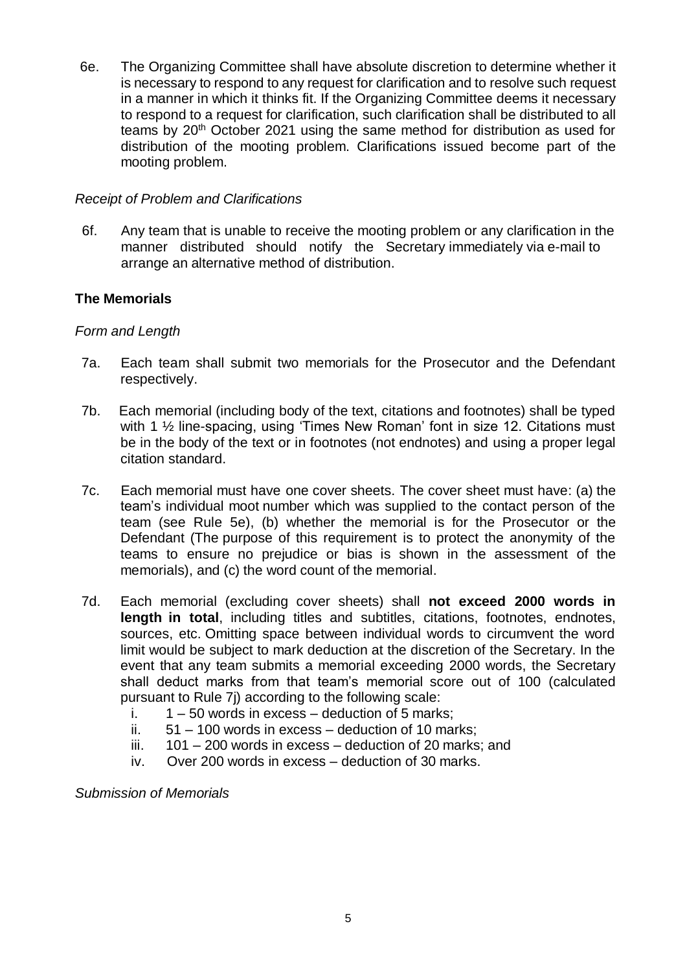6e. The Organizing Committee shall have absolute discretion to determine whether it is necessary to respond to any request for clarification and to resolve such request in a manner in which it thinks fit. If the Organizing Committee deems it necessary to respond to a request for clarification, such clarification shall be distributed to all teams by 20<sup>th</sup> October 2021 using the same method for distribution as used for distribution of the mooting problem. Clarifications issued become part of the mooting problem.

## *Receipt of Problem and Clarifications*

 6f. Any team that is unable to receive the mooting problem or any clarification in the manner distributed should notify the Secretary immediately via e-mail to arrange an alternative method of distribution.

## **The Memorials**

## *Form and Length*

- 7a. Each team shall submit two memorials for the Prosecutor and the Defendant respectively.
- 7b. Each memorial (including body of the text, citations and footnotes) shall be typed with 1 <sup>1</sup>/<sub>2</sub> line-spacing, using 'Times New Roman' font in size 12. Citations must be in the body of the text or in footnotes (not endnotes) and using a proper legal citation standard.
- 7c. Each memorial must have one cover sheets. The cover sheet must have: (a) the team's individual moot number which was supplied to the contact person of the team (see Rule 5e), (b) whether the memorial is for the Prosecutor or the Defendant (The purpose of this requirement is to protect the anonymity of the teams to ensure no prejudice or bias is shown in the assessment of the memorials), and (c) the word count of the memorial.
- 7d. Each memorial (excluding cover sheets) shall **not exceed 2000 words in length in total**, including titles and subtitles, citations, footnotes, endnotes, sources, etc. Omitting space between individual words to circumvent the word limit would be subject to mark deduction at the discretion of the Secretary. In the event that any team submits a memorial exceeding 2000 words, the Secretary shall deduct marks from that team's memorial score out of 100 (calculated pursuant to Rule 7j) according to the following scale:
	- i.  $1 50$  words in excess deduction of 5 marks;
	- ii.  $51 100$  words in excess deduction of 10 marks:
	- iii. 101 200 words in excess deduction of 20 marks; and
	- iv. Over 200 words in excess deduction of 30 marks.

*Submission of Memorials*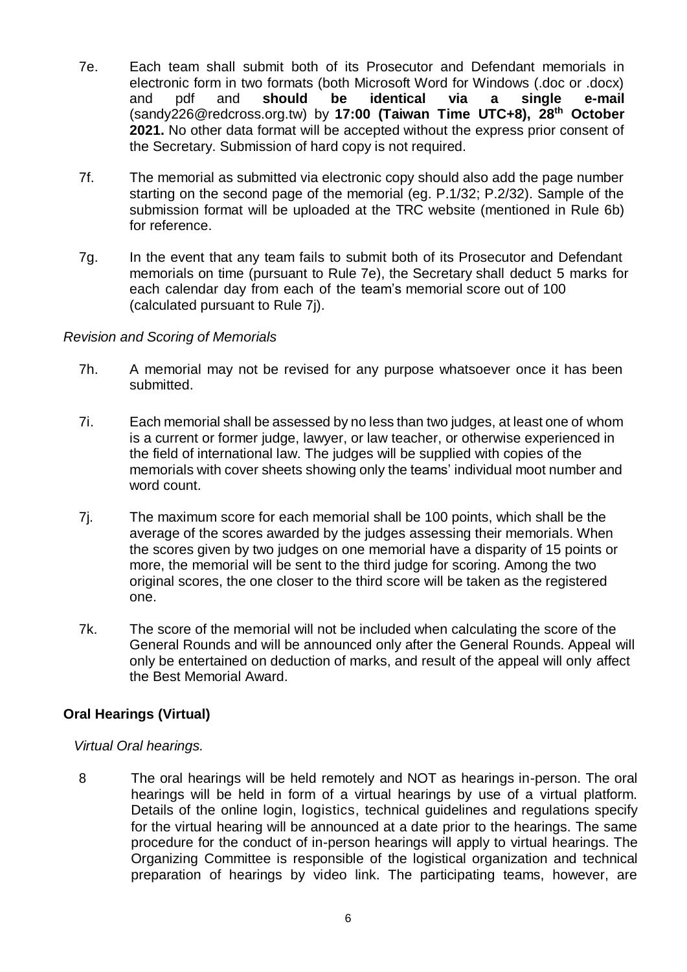- 7e. Each team shall submit both of its Prosecutor and Defendant memorials in electronic form in two formats (both Microsoft Word for Windows (.doc or .docx) and pdf and **should be identical via a single e-mail** (sandy22[6@redcross.org.tw\)](mailto:ihl@redcross.org.hk) by **17:00 (Taiwan Time UTC+8), 28th October 2021.** No other data format will be accepted without the express prior consent of the Secretary. Submission of hard copy is not required.
- 7f. The memorial as submitted via electronic copy should also add the page number starting on the second page of the memorial (eg. P.1/32; P.2/32). Sample of the submission format will be uploaded at the TRC website (mentioned in Rule 6b) for reference.
- 7g. In the event that any team fails to submit both of its Prosecutor and Defendant memorials on time (pursuant to Rule 7e), the Secretary shall deduct 5 marks for each calendar day from each of the team's memorial score out of 100 (calculated pursuant to Rule 7j).

## *Revision and Scoring of Memorials*

- 7h. A memorial may not be revised for any purpose whatsoever once it has been submitted.
- 7i. Each memorial shall be assessed by no less than two judges, at least one of whom is a current or former judge, lawyer, or law teacher, or otherwise experienced in the field of international law. The judges will be supplied with copies of the memorials with cover sheets showing only the teams' individual moot number and word count.
- 7j. The maximum score for each memorial shall be 100 points, which shall be the average of the scores awarded by the judges assessing their memorials. When the scores given by two judges on one memorial have a disparity of 15 points or more, the memorial will be sent to the third judge for scoring. Among the two original scores, the one closer to the third score will be taken as the registered one.
- 7k. The score of the memorial will not be included when calculating the score of the General Rounds and will be announced only after the General Rounds. Appeal will only be entertained on deduction of marks, and result of the appeal will only affect the Best Memorial Award.

# **Oral Hearings (Virtual)**

## *Virtual Oral hearings.*

8 The oral hearings will be held remotely and NOT as hearings in-person. The oral hearings will be held in form of a virtual hearings by use of a virtual platform. Details of the online login, logistics, technical guidelines and regulations specify for the virtual hearing will be announced at a date prior to the hearings. The same procedure for the conduct of in-person hearings will apply to virtual hearings. The Organizing Committee is responsible of the logistical organization and technical preparation of hearings by video link. The participating teams, however, are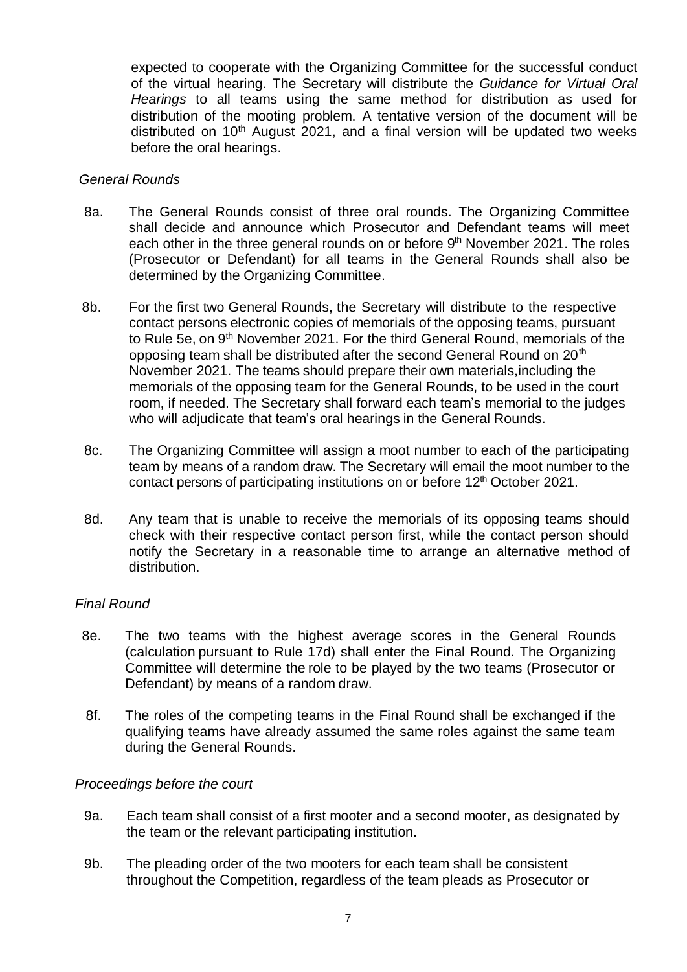expected to cooperate with the Organizing Committee for the successful conduct of the virtual hearing. The Secretary will distribute the *Guidance for Virtual Oral Hearings* to all teams using the same method for distribution as used for distribution of the mooting problem. A tentative version of the document will be distributed on  $10<sup>th</sup>$  August 2021, and a final version will be updated two weeks before the oral hearings.

#### *General Rounds*

- 8a. The General Rounds consist of three oral rounds. The Organizing Committee shall decide and announce which Prosecutor and Defendant teams will meet each other in the three general rounds on or before 9<sup>th</sup> November 2021. The roles (Prosecutor or Defendant) for all teams in the General Rounds shall also be determined by the Organizing Committee.
- 8b. For the first two General Rounds, the Secretary will distribute to the respective contact persons electronic copies of memorials of the opposing teams, pursuant to Rule 5e, on 9<sup>th</sup> November 2021. For the third General Round, memorials of the opposing team shall be distributed after the second General Round on 20<sup>th</sup> November 2021. The teams should prepare their own materials,including the memorials of the opposing team for the General Rounds, to be used in the court room, if needed. The Secretary shall forward each team's memorial to the judges who will adjudicate that team's oral hearings in the General Rounds.
- 8c. The Organizing Committee will assign a moot number to each of the participating team by means of a random draw. The Secretary will email the moot number to the contact persons of participating institutions on or before 12<sup>th</sup> October 2021.
- 8d. Any team that is unable to receive the memorials of its opposing teams should check with their respective contact person first, while the contact person should notify the Secretary in a reasonable time to arrange an alternative method of distribution.

## *Final Round*

- 8e. The two teams with the highest average scores in the General Rounds (calculation pursuant to Rule 17d) shall enter the Final Round. The Organizing Committee will determine the role to be played by the two teams (Prosecutor or Defendant) by means of a random draw.
- 8f. The roles of the competing teams in the Final Round shall be exchanged if the qualifying teams have already assumed the same roles against the same team during the General Rounds.

#### *Proceedings before the court*

- 9a. Each team shall consist of a first mooter and a second mooter, as designated by the team or the relevant participating institution.
- 9b. The pleading order of the two mooters for each team shall be consistent throughout the Competition, regardless of the team pleads as Prosecutor or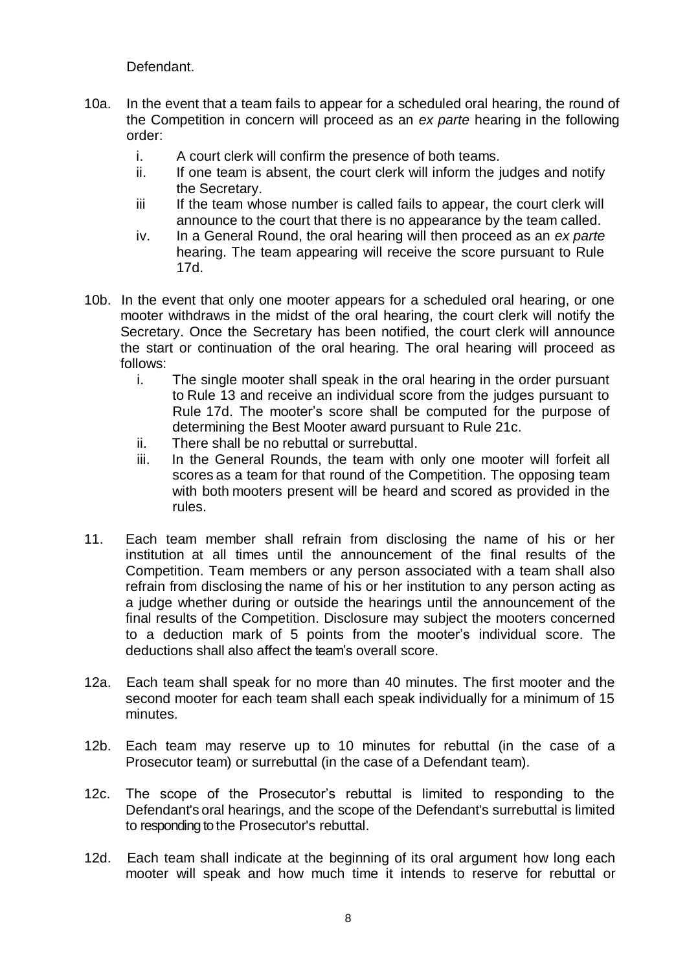Defendant.

- 10a. In the event that a team fails to appear for a scheduled oral hearing, the round of the Competition in concern will proceed as an *ex parte* hearing in the following order:
	- i. A court clerk will confirm the presence of both teams.
	- ii. If one team is absent, the court clerk will inform the judges and notify the Secretary.
	- iii If the team whose number is called fails to appear, the court clerk will announce to the court that there is no appearance by the team called.
	- iv. In a General Round, the oral hearing will then proceed as an *ex parte* hearing. The team appearing will receive the score pursuant to Rule 17d.
- 10b. In the event that only one mooter appears for a scheduled oral hearing, or one mooter withdraws in the midst of the oral hearing, the court clerk will notify the Secretary. Once the Secretary has been notified, the court clerk will announce the start or continuation of the oral hearing. The oral hearing will proceed as follows:
	- i. The single mooter shall speak in the oral hearing in the order pursuant to Rule 13 and receive an individual score from the judges pursuant to Rule 17d. The mooter's score shall be computed for the purpose of determining the Best Mooter award pursuant to Rule 21c.
	- ii. There shall be no rebuttal or surrebuttal.
	- iii. In the General Rounds, the team with only one mooter will forfeit all scores as a team for that round of the Competition. The opposing team with both mooters present will be heard and scored as provided in the rules.
- 11. Each team member shall refrain from disclosing the name of his or her institution at all times until the announcement of the final results of the Competition. Team members or any person associated with a team shall also refrain from disclosing the name of his or her institution to any person acting as a judge whether during or outside the hearings until the announcement of the final results of the Competition. Disclosure may subject the mooters concerned to a deduction mark of 5 points from the mooter's individual score. The deductions shall also affect the team's overall score.
- 12a. Each team shall speak for no more than 40 minutes. The first mooter and the second mooter for each team shall each speak individually for a minimum of 15 minutes.
- 12b. Each team may reserve up to 10 minutes for rebuttal (in the case of a Prosecutor team) or surrebuttal (in the case of a Defendant team).
- 12c. The scope of the Prosecutor's rebuttal is limited to responding to the Defendant's oral hearings, and the scope of the Defendant's surrebuttal is limited to responding to the Prosecutor's rebuttal.
- 12d. Each team shall indicate at the beginning of its oral argument how long each mooter will speak and how much time it intends to reserve for rebuttal or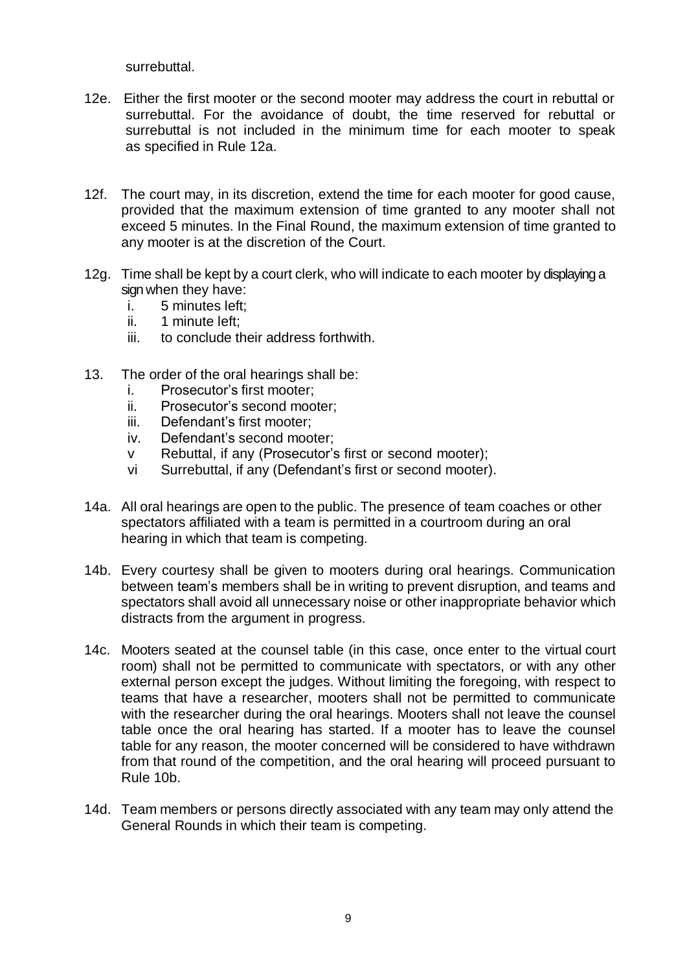surrebuttal.

- 12e. Either the first mooter or the second mooter may address the court in rebuttal or surrebuttal. For the avoidance of doubt, the time reserved for rebuttal or surrebuttal is not included in the minimum time for each mooter to speak as specified in Rule 12a.
- 12f. The court may, in its discretion, extend the time for each mooter for good cause, provided that the maximum extension of time granted to any mooter shall not exceed 5 minutes. In the Final Round, the maximum extension of time granted to any mooter is at the discretion of the Court.
- 12g. Time shall be kept by a court clerk, who will indicate to each mooter by displaying a sign when they have:
	- i. 5 minutes left;
	- ii. 1 minute left;
	- iii. to conclude their address forthwith.
- 13. The order of the oral hearings shall be:
	- i. Prosecutor's first mooter;
	- ii. Prosecutor's second mooter;
	- iii. Defendant's first mooter;
	- iv. Defendant's second mooter;
	- v Rebuttal, if any (Prosecutor's first or second mooter);
	- vi Surrebuttal, if any (Defendant's first or second mooter).
- 14a. All oral hearings are open to the public. The presence of team coaches or other spectators affiliated with a team is permitted in a courtroom during an oral hearing in which that team is competing.
- 14b. Every courtesy shall be given to mooters during oral hearings. Communication between team's members shall be in writing to prevent disruption, and teams and spectators shall avoid all unnecessary noise or other inappropriate behavior which distracts from the argument in progress.
- 14c. Mooters seated at the counsel table (in this case, once enter to the virtual court room) shall not be permitted to communicate with spectators, or with any other external person except the judges. Without limiting the foregoing, with respect to teams that have a researcher, mooters shall not be permitted to communicate with the researcher during the oral hearings. Mooters shall not leave the counsel table once the oral hearing has started. If a mooter has to leave the counsel table for any reason, the mooter concerned will be considered to have withdrawn from that round of the competition, and the oral hearing will proceed pursuant to Rule 10b.
- 14d. Team members or persons directly associated with any team may only attend the General Rounds in which their team is competing.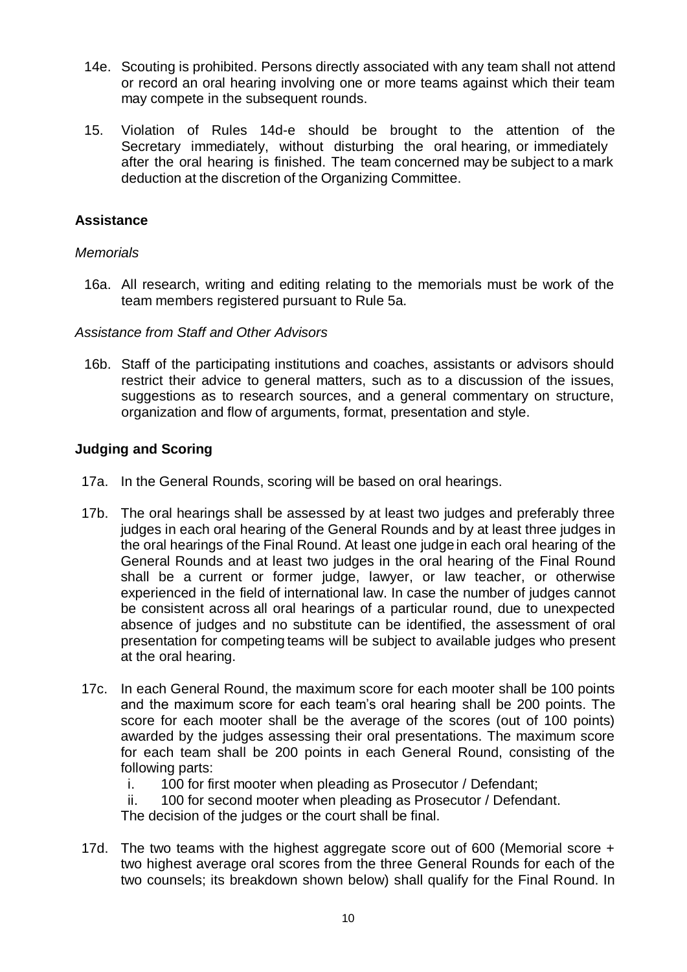- 14e. Scouting is prohibited. Persons directly associated with any team shall not attend or record an oral hearing involving one or more teams against which their team may compete in the subsequent rounds.
- 15. Violation of Rules 14d-e should be brought to the attention of the Secretary immediately, without disturbing the oral hearing, or immediately after the oral hearing is finished. The team concerned may be subject to a mark deduction at the discretion of the Organizing Committee.

## **Assistance**

## *Memorials*

16a. All research, writing and editing relating to the memorials must be work of the team members registered pursuant to Rule 5a.

## *Assistance from Staff and Other Advisors*

16b. Staff of the participating institutions and coaches, assistants or advisors should restrict their advice to general matters, such as to a discussion of the issues, suggestions as to research sources, and a general commentary on structure, organization and flow of arguments, format, presentation and style.

## **Judging and Scoring**

- 17a. In the General Rounds, scoring will be based on oral hearings.
- 17b. The oral hearings shall be assessed by at least two judges and preferably three judges in each oral hearing of the General Rounds and by at least three judges in the oral hearings of the Final Round. At least one judgein each oral hearing of the General Rounds and at least two judges in the oral hearing of the Final Round shall be a current or former judge, lawyer, or law teacher, or otherwise experienced in the field of international law. In case the number of judges cannot be consistent across all oral hearings of a particular round, due to unexpected absence of judges and no substitute can be identified, the assessment of oral presentation for competing teams will be subject to available judges who present at the oral hearing.
- 17c. In each General Round, the maximum score for each mooter shall be 100 points and the maximum score for each team's oral hearing shall be 200 points. The score for each mooter shall be the average of the scores (out of 100 points) awarded by the judges assessing their oral presentations. The maximum score for each team shall be 200 points in each General Round, consisting of the following parts:
	- i. 100 for first mooter when pleading as Prosecutor / Defendant;
	- ii. 100 for second mooter when pleading as Prosecutor / Defendant.

The decision of the judges or the court shall be final.

17d. The two teams with the highest aggregate score out of 600 (Memorial score + two highest average oral scores from the three General Rounds for each of the two counsels; its breakdown shown below) shall qualify for the Final Round. In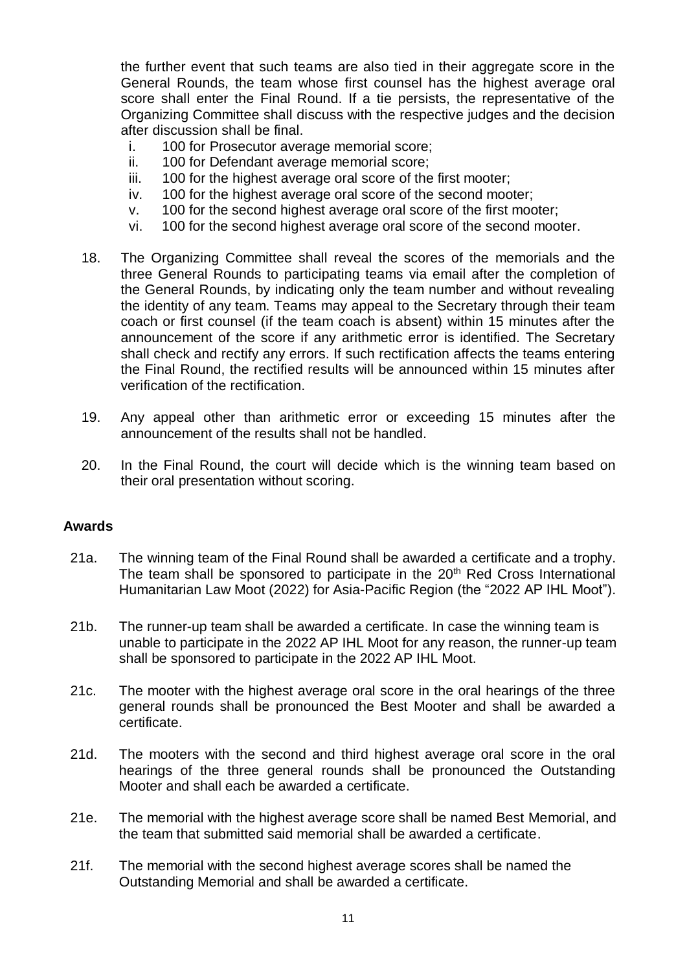the further event that such teams are also tied in their aggregate score in the General Rounds, the team whose first counsel has the highest average oral score shall enter the Final Round. If a tie persists, the representative of the Organizing Committee shall discuss with the respective judges and the decision after discussion shall be final.

- i. 100 for Prosecutor average memorial score;
- ii. 100 for Defendant average memorial score;
- iii. 100 for the highest average oral score of the first mooter;
- iv. 100 for the highest average oral score of the second mooter;
- v. 100 for the second highest average oral score of the first mooter;
- vi. 100 for the second highest average oral score of the second mooter.
- 18. The Organizing Committee shall reveal the scores of the memorials and the three General Rounds to participating teams via email after the completion of the General Rounds, by indicating only the team number and without revealing the identity of any team. Teams may appeal to the Secretary through their team coach or first counsel (if the team coach is absent) within 15 minutes after the announcement of the score if any arithmetic error is identified. The Secretary shall check and rectify any errors. If such rectification affects the teams entering the Final Round, the rectified results will be announced within 15 minutes after verification of the rectification.
- 19. Any appeal other than arithmetic error or exceeding 15 minutes after the announcement of the results shall not be handled.
- 20. In the Final Round, the court will decide which is the winning team based on their oral presentation without scoring.

#### **Awards**

- 21a. The winning team of the Final Round shall be awarded a certificate and a trophy. The team shall be sponsored to participate in the  $20<sup>th</sup>$  Red Cross International Humanitarian Law Moot (2022) for Asia-Pacific Region (the "2022 AP IHL Moot").
- 21b. The runner-up team shall be awarded a certificate. In case the winning team is unable to participate in the 2022 AP IHL Moot for any reason, the runner-up team shall be sponsored to participate in the 2022 AP IHL Moot.
- 21c. The mooter with the highest average oral score in the oral hearings of the three general rounds shall be pronounced the Best Mooter and shall be awarded a certificate.
- 21d. The mooters with the second and third highest average oral score in the oral hearings of the three general rounds shall be pronounced the Outstanding Mooter and shall each be awarded a certificate.
- 21e. The memorial with the highest average score shall be named Best Memorial, and the team that submitted said memorial shall be awarded a certificate.
- 21f. The memorial with the second highest average scores shall be named the Outstanding Memorial and shall be awarded a certificate.